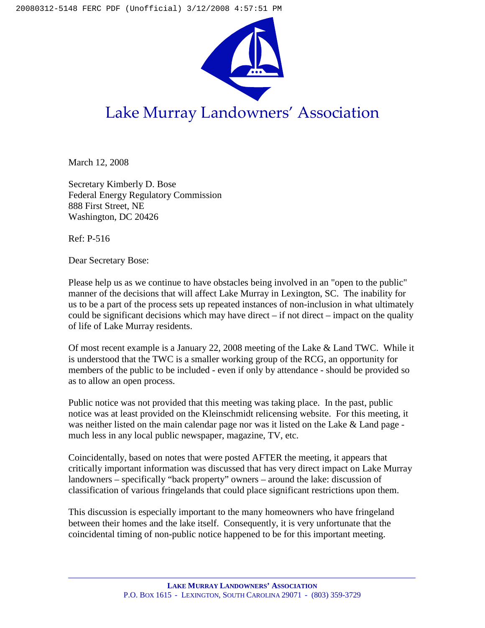

## Lake Murray Landowners' Association

March 12, 2008

Secretary Kimberly D. Bose Federal Energy Regulatory Commission 888 First Street, NE Washington, DC 20426

Ref: P-516

Dear Secretary Bose:

Please help us as we continue to have obstacles being involved in an "open to the public" manner of the decisions that will affect Lake Murray in Lexington, SC. The inability for us to be a part of the process sets up repeated instances of non-inclusion in what ultimately could be significant decisions which may have direct – if not direct – impact on the quality of life of Lake Murray residents.

Of most recent example is a January 22, 2008 meeting of the Lake & Land TWC. While it is understood that the TWC is a smaller working group of the RCG, an opportunity for members of the public to be included - even if only by attendance - should be provided so as to allow an open process.

Public notice was not provided that this meeting was taking place. In the past, public notice was at least provided on the Kleinschmidt relicensing website. For this meeting, it was neither listed on the main calendar page nor was it listed on the Lake & Land page much less in any local public newspaper, magazine, TV, etc.

Coincidentally, based on notes that were posted AFTER the meeting, it appears that critically important information was discussed that has very direct impact on Lake Murray landowners – specifically "back property" owners – around the lake: discussion of classification of various fringelands that could place significant restrictions upon them.

This discussion is especially important to the many homeowners who have fringeland between their homes and the lake itself. Consequently, it is very unfortunate that the coincidental timing of non-public notice happened to be for this important meeting.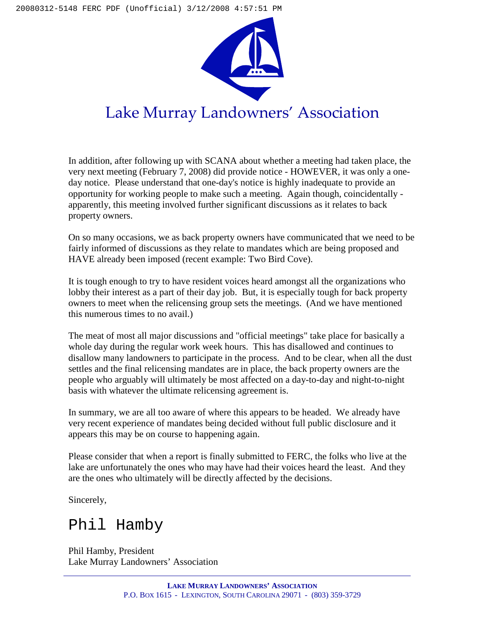

In addition, after following up with SCANA about whether a meeting had taken place, the very next meeting (February 7, 2008) did provide notice - HOWEVER, it was only a oneday notice. Please understand that one-day's notice is highly inadequate to provide an opportunity for working people to make such a meeting. Again though, coincidentally apparently, this meeting involved further significant discussions as it relates to back property owners.

On so many occasions, we as back property owners have communicated that we need to be fairly informed of discussions as they relate to mandates which are being proposed and HAVE already been imposed (recent example: Two Bird Cove).

It is tough enough to try to have resident voices heard amongst all the organizations who lobby their interest as a part of their day job. But, it is especially tough for back property owners to meet when the relicensing group sets the meetings. (And we have mentioned this numerous times to no avail.)

The meat of most all major discussions and "official meetings" take place for basically a whole day during the regular work week hours. This has disallowed and continues to disallow many landowners to participate in the process. And to be clear, when all the dust settles and the final relicensing mandates are in place, the back property owners are the people who arguably will ultimately be most affected on a day-to-day and night-to-night basis with whatever the ultimate relicensing agreement is.

In summary, we are all too aware of where this appears to be headed. We already have very recent experience of mandates being decided without full public disclosure and it appears this may be on course to happening again.

Please consider that when a report is finally submitted to FERC, the folks who live at the lake are unfortunately the ones who may have had their voices heard the least. And they are the ones who ultimately will be directly affected by the decisions.

Sincerely,

## Phil Hamby

Phil Hamby, President Lake Murray Landowners' Association